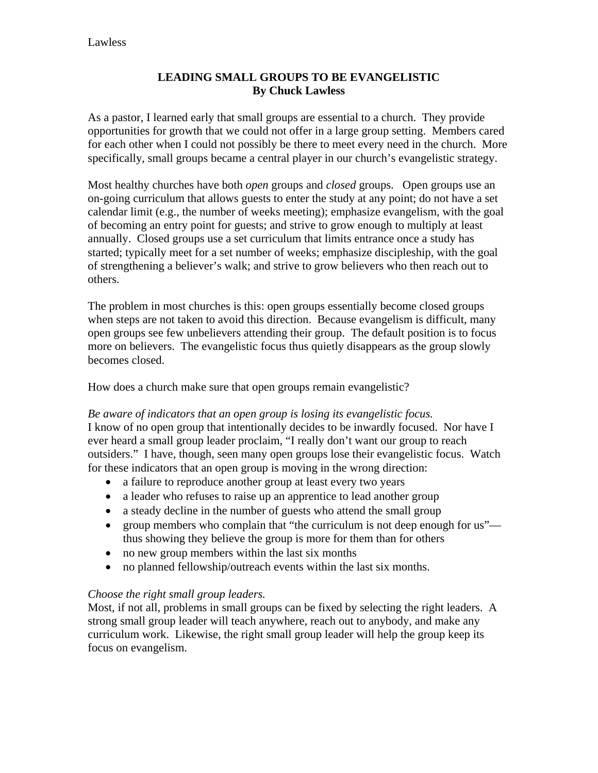## **LEADING SMALL GROUPS TO BE EVANGELISTIC By Chuck Lawless**

As a pastor, I learned early that small groups are essential to a church. They provide opportunities for growth that we could not offer in a large group setting. Members cared for each other when I could not possibly be there to meet every need in the church. More specifically, small groups became a central player in our church's evangelistic strategy.

Most healthy churches have both *open* groups and *closed* groups. Open groups use an on-going curriculum that allows guests to enter the study at any point; do not have a set calendar limit (e.g., the number of weeks meeting); emphasize evangelism, with the goal of becoming an entry point for guests; and strive to grow enough to multiply at least annually. Closed groups use a set curriculum that limits entrance once a study has started; typically meet for a set number of weeks; emphasize discipleship, with the goal of strengthening a believer's walk; and strive to grow believers who then reach out to others.

The problem in most churches is this: open groups essentially become closed groups when steps are not taken to avoid this direction. Because evangelism is difficult, many open groups see few unbelievers attending their group. The default position is to focus more on believers. The evangelistic focus thus quietly disappears as the group slowly becomes closed.

How does a church make sure that open groups remain evangelistic?

#### *Be aware of indicators that an open group is losing its evangelistic focus.*

I know of no open group that intentionally decides to be inwardly focused. Nor have I ever heard a small group leader proclaim, "I really don't want our group to reach outsiders." I have, though, seen many open groups lose their evangelistic focus. Watch for these indicators that an open group is moving in the wrong direction:

- a failure to reproduce another group at least every two years
- a leader who refuses to raise up an apprentice to lead another group
- a steady decline in the number of guests who attend the small group
- group members who complain that "the curriculum is not deep enough for us" thus showing they believe the group is more for them than for others
- no new group members within the last six months
- no planned fellowship/outreach events within the last six months.

# *Choose the right small group leaders.*

Most, if not all, problems in small groups can be fixed by selecting the right leaders. A strong small group leader will teach anywhere, reach out to anybody, and make any curriculum work. Likewise, the right small group leader will help the group keep its focus on evangelism.